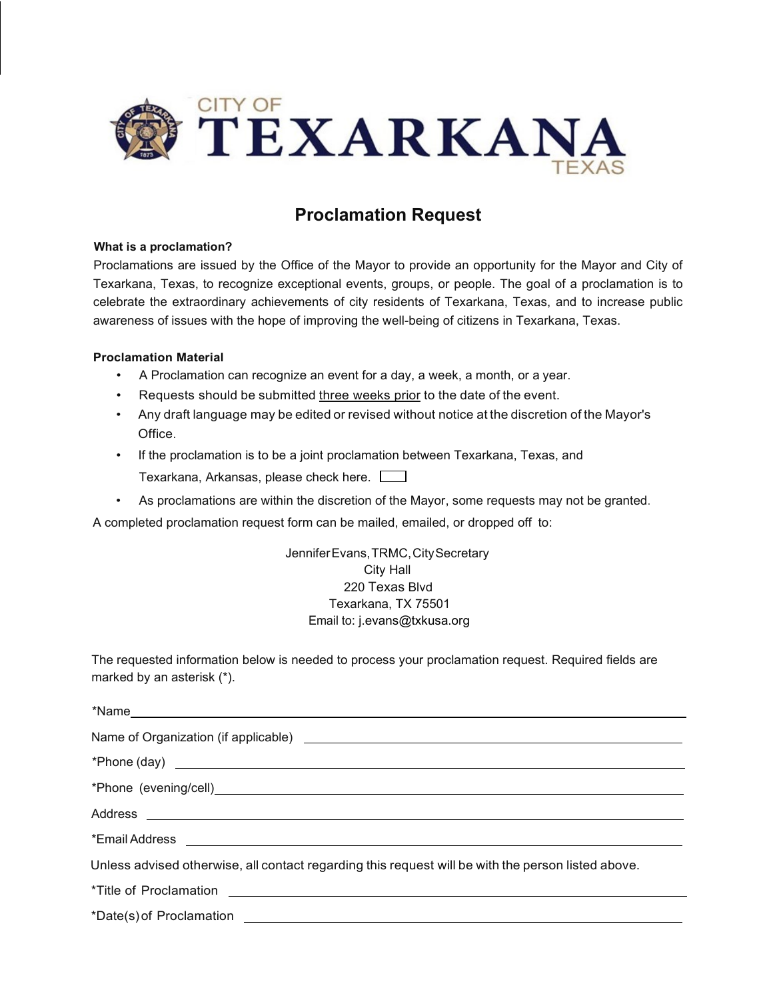

# **Proclamation Request**

# **What is a proclamation?**

Proclamations are issued by the Office of the Mayor to provide an opportunity for the Mayor and City of Texarkana, Texas, to recognize exceptional events, groups, or people. The goal of a proclamation is to celebrate the extraordinary achievements of city residents of Texarkana, Texas, and to increase public awareness of issues with the hope of improving the well-being of citizens in Texarkana, Texas.

# **Proclamation Material**

- A Proclamation can recognize an event for a day, a week, a month, or a year.
- Requests should be submitted three weeks prior to the date of the event.
- Any draft language may be edited or revised without notice at the discretion of the Mayor's Office.
- If the proclamation is to be a joint proclamation between Texarkana, Texas, and Texarkana, Arkansas, please check here.
- As proclamations are within the discretion of the Mayor, some requests may not be granted.

A completed proclamation request form can be mailed, emailed, or dropped off to:

JenniferEvans,TRMC,CitySecretary City Hall 220 Texas Blvd Texarkana, TX 75501 Email to: j.evans@txkusa.org

The requested information below is needed to process your proclamation request. Required fields are marked by an asterisk (\*).

| Unless advised otherwise, all contact regarding this request will be with the person listed above.                                                                                                                                   |
|--------------------------------------------------------------------------------------------------------------------------------------------------------------------------------------------------------------------------------------|
| *Title of Proclamation <u>example and the set of the set of the set of the set of the set of the set of the set of the set of the set of the set of the set of the set of the set of the set of the set of the set of the set of</u> |
|                                                                                                                                                                                                                                      |

\*Date(s)of Proclamation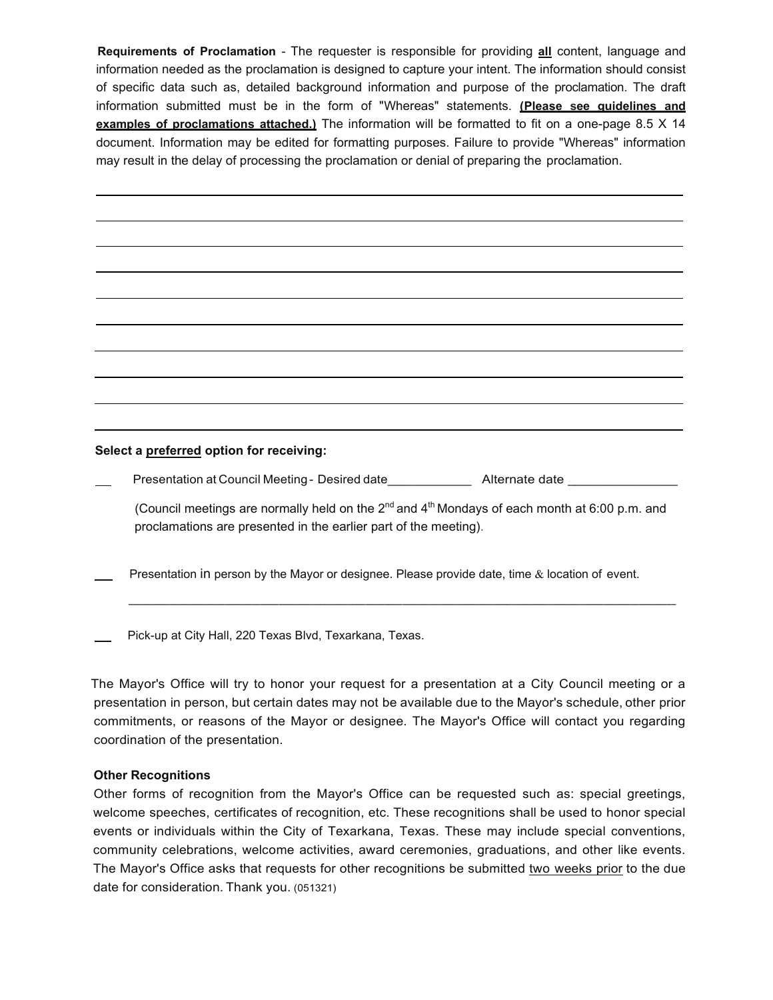**Requirements of Proclamation** - The requester is responsible for providing **all** content, language and information needed as the proclamation is designed to capture your intent. The information should consist of specific data such as, detailed background information and purpose of the proclamation. The draft information submitted must be in the form of "Whereas" statements. **(Please see guidelines and examples of proclamations attached.)** The information will be formatted to fit on a one-page 8.5 X 14 document. Information may be edited for formatting purposes. Failure to provide "Whereas" information may result in the delay of processing the proclamation or denial of preparing the proclamation.

**Select a preferred option for receiving:**

Presentation at Council Meeting - Desired date\_\_\_\_\_\_\_\_\_\_\_\_\_\_\_\_ Alternate date \_\_\_\_\_\_\_\_\_

(Council meetings are normally held on the  $2^{nd}$  and  $4^{th}$  Mondays of each month at 6:00 p.m. and proclamations are presented in the earlier part of the meeting).

**\_\_\_\_\_\_\_\_\_\_\_\_\_\_\_\_\_\_\_\_\_\_\_\_\_\_\_\_\_\_\_\_\_\_\_\_\_\_\_\_\_\_\_\_\_\_\_\_\_\_\_\_\_\_\_\_\_\_\_\_\_\_\_\_\_\_\_\_\_\_\_\_\_\_\_\_\_\_\_\_\_\_\_\_\_\_\_\_\_\_\_\_\_\_\_\_\_\_\_\_\_\_\_\_\_\_\_\_\_\_\_\_\_\_\_\_\_\_\_\_**

Presentation in person by the Mayor or designee. Please provide date, time  $\&$  location of event.

Pick-up at City Hall, 220 Texas Blvd, Texarkana, Texas.

The Mayor's Office will try to honor your request for a presentation at a City Council meeting or a presentation in person, but certain dates may not be available due to the Mayor's schedule, other prior commitments, or reasons of the Mayor or designee. The Mayor's Office will contact you regarding coordination of the presentation.

# **Other Recognitions**

Other forms of recognition from the Mayor's Office can be requested such as: special greetings, welcome speeches, certificates of recognition, etc. These recognitions shall be used to honor special events or individuals within the City of Texarkana, Texas. These may include special conventions, community celebrations, welcome activities, award ceremonies, graduations, and other like events. The Mayor's Office asks that requests for other recognitions be submitted two weeks prior to the due date for consideration. Thank you. (051321)